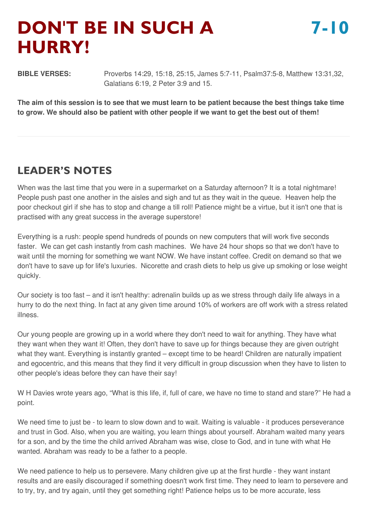# **DON'T BE IN SUCH A HURRY!**

**BIBLE VERSES:** Proverbs 14:29, 15:18, 25:15, James 5:7-11, Psalm37:5-8, Matthew 13:31,32, Galatians 6:19, 2 Peter 3:9 and 15.

The aim of this session is to see that we must learn to be patient because the best things take time to grow. We should also be patient with other people if we want to get the best out of them!

# **LEADER'S NOTES**

When was the last time that you were in a supermarket on a Saturday afternoon? It is a total nightmare! People push past one another in the aisles and sigh and tut as they wait in the queue. Heaven help the poor checkout girl if she has to stop and change a till roll! Patience might be a virtue, but it isn't one that is practised with any great success in the average superstore!

Everything is a rush: people spend hundreds of pounds on new computers that will work five seconds faster. We can get cash instantly from cash machines. We have 24 hour shops so that we don't have to wait until the morning for something we want NOW. We have instant coffee. Credit on demand so that we don't have to save up for life's luxuries. Nicorette and crash diets to help us give up smoking or lose weight quickly.

Our society is too fast – and it isn't healthy: adrenalin builds up as we stress through daily life always in a hurry to do the next thing. In fact at any given time around 10% of workers are off work with a stress related illness.

Our young people are growing up in a world where they don't need to wait for anything. They have what they want when they want it! Often, they don't have to save up for things because they are given outright what they want. Everything is instantly granted – except time to be heard! Children are naturally impatient and egocentric, and this means that they find it very difficult in group discussion when they have to listen to other people's ideas before they can have their say!

W H Davies wrote years ago, "What is this life, if, full of care, we have no time to stand and stare?" He had a point.

We need time to just be - to learn to slow down and to wait. Waiting is valuable - it produces perseverance and trust in God. Also, when you are waiting, you learn things about yourself. Abraham waited many years for a son, and by the time the child arrived Abraham was wise, close to God, and in tune with what He wanted. Abraham was ready to be a father to a people.

We need patience to help us to persevere. Many children give up at the first hurdle - they want instant results and are easily discouraged if something doesn't work first time. They need to learn to persevere and to try, try, and try again, until they get something right! Patience helps us to be more accurate, less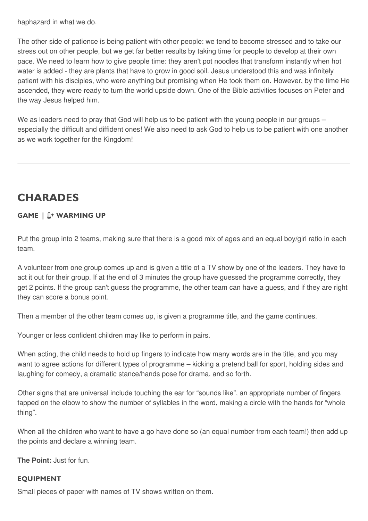haphazard in what we do.

The other side of patience is being patient with other people: we tend to become stressed and to take our stress out on other people, but we get far better results by taking time for people to develop at their own pace. We need to learn how to give people time: they aren't pot noodles that transform instantly when hot water is added - they are plants that have to grow in good soil. Jesus understood this and was infinitely patient with his disciples, who were anything but promising when He took them on. However, by the time He ascended, they were ready to turn the world upside down. One of the Bible activities focuses on Peter and the way Jesus helped him.

We as leaders need to pray that God will help us to be patient with the young people in our groups – especially the difficult and diffident ones! We also need to ask God to help us to be patient with one another as we work together for the Kingdom!

# **CHARADES**

# **GAME | WARMING UP**

Put the group into 2 teams, making sure that there is a good mix of ages and an equal boy/girl ratio in each team.

A volunteer from one group comes up and is given a title of a TV show by one of the leaders. They have to act it out for their group. If at the end of 3 minutes the group have guessed the programme correctly, they get 2 points. If the group can't guess the programme, the other team can have a guess, and if they are right they can score a bonus point.

Then a member of the other team comes up, is given a programme title, and the game continues.

Younger or less confident children may like to perform in pairs.

When acting, the child needs to hold up fingers to indicate how many words are in the title, and you may want to agree actions for different types of programme – kicking a pretend ball for sport, holding sides and laughing for comedy, a dramatic stance/hands pose for drama, and so forth.

Other signs that are universal include touching the ear for "sounds like", an appropriate number of fingers tapped on the elbow to show the number of syllables in the word, making a circle with the hands for "whole thing".

When all the children who want to have a go have done so (an equal number from each team!) then add up the points and declare a winning team.

**The Point:** Just for fun.

### **EQUIPMENT**

Small pieces of paper with names of TV shows written on them.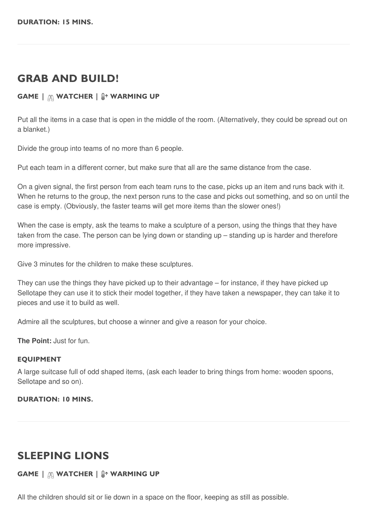# **GRAB AND BUILD!**

## **GAME | WATCHER | WARMING UP**

Put all the items in a case that is open in the middle of the room. (Alternatively, they could be spread out on a blanket.)

Divide the group into teams of no more than 6 people.

Put each team in a different corner, but make sure that all are the same distance from the case.

On a given signal, the first person from each team runs to the case, picks up an item and runs back with it. When he returns to the group, the next person runs to the case and picks out something, and so on until the case is empty. (Obviously, the faster teams will get more items than the slower ones!)

When the case is empty, ask the teams to make a sculpture of a person, using the things that they have taken from the case. The person can be lying down or standing up – standing up is harder and therefore more impressive.

Give 3 minutes for the children to make these sculptures.

They can use the things they have picked up to their advantage – for instance, if they have picked up Sellotape they can use it to stick their model together, if they have taken a newspaper, they can take it to pieces and use it to build as well.

Admire all the sculptures, but choose a winner and give a reason for your choice.

**The Point:** Just for fun.

#### **EQUIPMENT**

A large suitcase full of odd shaped items, (ask each leader to bring things from home: wooden spoons, Sellotape and so on).

#### **DURATION: 10 MINS.**

# **SLEEPING LIONS**

### **GAME | WATCHER | WARMING UP**

All the children should sit or lie down in a space on the floor, keeping as still as possible.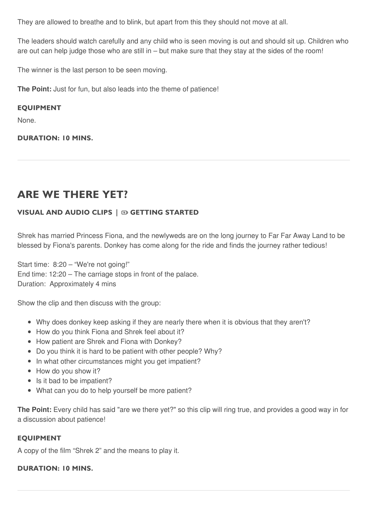They are allowed to breathe and to blink, but apart from this they should not move at all.

The leaders should watch carefully and any child who is seen moving is out and should sit up. Children who are out can help judge those who are still in – but make sure that they stay at the sides of the room!

The winner is the last person to be seen moving.

**The Point:** Just for fun, but also leads into the theme of patience!

#### **EQUIPMENT**

None.

**DURATION: 10 MINS.**

# **ARE WE THERE YET?**

# **VISUAL AND AUDIO CLIPS | GETTING STARTED**

Shrek has married Princess Fiona, and the newlyweds are on the long journey to Far Far Away Land to be blessed by Fiona's parents. Donkey has come along for the ride and finds the journey rather tedious!

Start time: 8:20 – "We're not going!" End time: 12:20 – The carriage stops in front of the palace. Duration: Approximately 4 mins

Show the clip and then discuss with the group:

- Why does donkey keep asking if they are nearly there when it is obvious that they aren't?
- How do you think Fiona and Shrek feel about it?
- How patient are Shrek and Fiona with Donkey?
- Do you think it is hard to be patient with other people? Why?
- In what other circumstances might you get impatient?
- How do you show it?
- Is it bad to be impatient?
- What can you do to help yourself be more patient?

**The Point:** Every child has said "are we there yet?" so this clip will ring true, and provides a good way in for a discussion about patience!

### **EQUIPMENT**

A copy of the film "Shrek 2" and the means to play it.

#### **DURATION: 10 MINS.**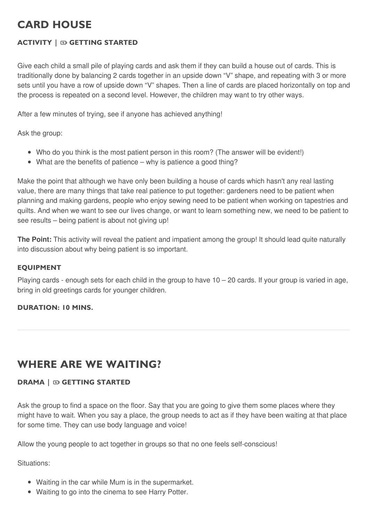# **CARD HOUSE**

# **ACTIVITY | GETTING STARTED**

Give each child a small pile of playing cards and ask them if they can build a house out of cards. This is traditionally done by balancing 2 cards together in an upside down "V" shape, and repeating with 3 or more sets until you have a row of upside down "V" shapes. Then a line of cards are placed horizontally on top and the process is repeated on a second level. However, the children may want to try other ways.

After a few minutes of trying, see if anyone has achieved anything!

Ask the group:

- Who do you think is the most patient person in this room? (The answer will be evident!)
- What are the benefits of patience why is patience a good thing?

Make the point that although we have only been building a house of cards which hasn't any real lasting value, there are many things that take real patience to put together: gardeners need to be patient when planning and making gardens, people who enjoy sewing need to be patient when working on tapestries and quilts. And when we want to see our lives change, or want to learn something new, we need to be patient to see results – being patient is about not giving up!

**The Point:** This activity will reveal the patient and impatient among the group! It should lead quite naturally into discussion about why being patient is so important.

### **EQUIPMENT**

Playing cards - enough sets for each child in the group to have  $10 - 20$  cards. If your group is varied in age, bring in old greetings cards for younger children.

# **DURATION: 10 MINS.**

# **WHERE ARE WE WAITING?**

# **DRAMA | GETTING STARTED**

Ask the group to find a space on the floor. Say that you are going to give them some places where they might have to wait. When you say a place, the group needs to act as if they have been waiting at that place for some time. They can use body language and voice!

Allow the young people to act together in groups so that no one feels self-conscious!

Situations:

- Waiting in the car while Mum is in the supermarket.
- Waiting to go into the cinema to see Harry Potter.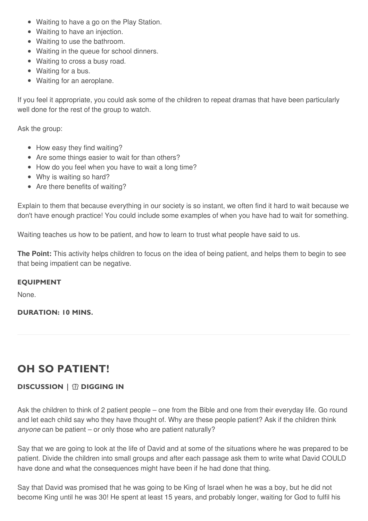- Waiting to have a go on the Play Station.
- Waiting to have an injection.
- Waiting to use the bathroom.
- Waiting in the queue for school dinners.
- Waiting to cross a busy road.
- Waiting for a bus.
- Waiting for an aeroplane.

If you feel it appropriate, you could ask some of the children to repeat dramas that have been particularly well done for the rest of the group to watch.

Ask the group:

- How easy they find waiting?
- Are some things easier to wait for than others?
- How do you feel when you have to wait a long time?
- Why is waiting so hard?
- Are there benefits of waiting?

Explain to them that because everything in our society is so instant, we often find it hard to wait because we don't have enough practice! You could include some examples of when you have had to wait for something.

Waiting teaches us how to be patient, and how to learn to trust what people have said to us.

**The Point:** This activity helps children to focus on the idea of being patient, and helps them to begin to see that being impatient can be negative.

### **EQUIPMENT**

None.

**DURATION: 10 MINS.**

# **OH SO PATIENT!**

# **DISCUSSION | DIGGING IN**

Ask the children to think of 2 patient people – one from the Bible and one from their everyday life. Go round and let each child say who they have thought of. Why are these people patient? Ask if the children think *anyone* can be patient – or only those who are patient naturally?

Say that we are going to look at the life of David and at some of the situations where he was prepared to be patient. Divide the children into small groups and after each passage ask them to write what David COULD have done and what the consequences might have been if he had done that thing.

Say that David was promised that he was going to be King of Israel when he was a boy, but he did not become King until he was 30! He spent at least 15 years, and probably longer, waiting for God to fulfil his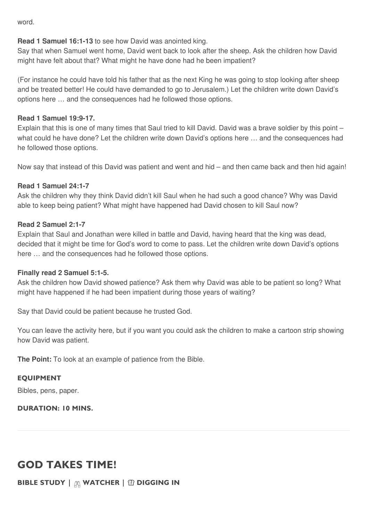word.

### **Read 1 Samuel 16:1-13** to see how David was anointed king.

Say that when Samuel went home, David went back to look after the sheep. Ask the children how David might have felt about that? What might he have done had he been impatient?

(For instance he could have told his father that as the next King he was going to stop looking after sheep and be treated better! He could have demanded to go to Jerusalem.) Let the children write down David's options here … and the consequences had he followed those options.

### **Read 1 Samuel 19:9-17.**

Explain that this is one of many times that Saul tried to kill David. David was a brave soldier by this point – what could he have done? Let the children write down David's options here … and the consequences had he followed those options.

Now say that instead of this David was patient and went and hid – and then came back and then hid again!

## **Read 1 Samuel 24:1-7**

Ask the children why they think David didn't kill Saul when he had such a good chance? Why was David able to keep being patient? What might have happened had David chosen to kill Saul now?

### **Read 2 Samuel 2:1-7**

Explain that Saul and Jonathan were killed in battle and David, having heard that the king was dead, decided that it might be time for God's word to come to pass. Let the children write down David's options here … and the consequences had he followed those options.

### **Finally read 2 Samuel 5:1-5.**

Ask the children how David showed patience? Ask them why David was able to be patient so long? What might have happened if he had been impatient during those years of waiting?

Say that David could be patient because he trusted God.

You can leave the activity here, but if you want you could ask the children to make a cartoon strip showing how David was patient.

**The Point:** To look at an example of patience from the Bible.

# **EQUIPMENT**

Bibles, pens, paper.

### **DURATION: 10 MINS.**

# **GOD TAKES TIME!**

**BIBLE STUDY | WATCHER | DIGGING IN**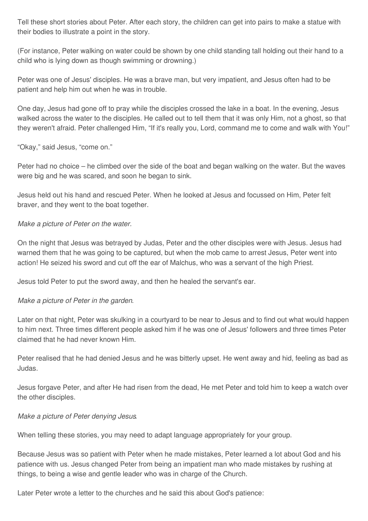Tell these short stories about Peter. After each story, the children can get into pairs to make a statue with their bodies to illustrate a point in the story.

(For instance, Peter walking on water could be shown by one child standing tall holding out their hand to a child who is lying down as though swimming or drowning.)

Peter was one of Jesus' disciples. He was a brave man, but very impatient, and Jesus often had to be patient and help him out when he was in trouble.

One day, Jesus had gone off to pray while the disciples crossed the lake in a boat. In the evening, Jesus walked across the water to the disciples. He called out to tell them that it was only Him, not a ghost, so that they weren't afraid. Peter challenged Him, "If it's really you, Lord, command me to come and walk with You!"

"Okay," said Jesus, "come on."

Peter had no choice – he climbed over the side of the boat and began walking on the water. But the waves were big and he was scared, and soon he began to sink.

Jesus held out his hand and rescued Peter. When he looked at Jesus and focussed on Him, Peter felt braver, and they went to the boat together.

## *Make a picture of Peter on the water.*

On the night that Jesus was betrayed by Judas, Peter and the other disciples were with Jesus. Jesus had warned them that he was going to be captured, but when the mob came to arrest Jesus, Peter went into action! He seized his sword and cut off the ear of Malchus, who was a servant of the high Priest.

Jesus told Peter to put the sword away, and then he healed the servant's ear.

# *Make a picture of Peter in the garden*.

Later on that night, Peter was skulking in a courtyard to be near to Jesus and to find out what would happen to him next. Three times different people asked him if he was one of Jesus' followers and three times Peter claimed that he had never known Him.

Peter realised that he had denied Jesus and he was bitterly upset. He went away and hid, feeling as bad as Judas.

Jesus forgave Peter, and after He had risen from the dead, He met Peter and told him to keep a watch over the other disciples.

### *Make a picture of Peter denying Jesus*.

When telling these stories, you may need to adapt language appropriately for your group.

Because Jesus was so patient with Peter when he made mistakes, Peter learned a lot about God and his patience with us. Jesus changed Peter from being an impatient man who made mistakes by rushing at things, to being a wise and gentle leader who was in charge of the Church.

Later Peter wrote a letter to the churches and he said this about God's patience: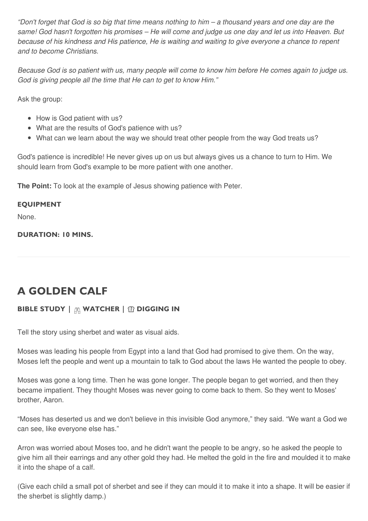"Don't forget that God is so big that time means nothing to him – a thousand years and one day are the same! God hasn't forgotten his promises - He will come and judge us one day and let us into Heaven. But because of his kindness and His patience, He is waiting and waiting to give everyone a chance to repent *and to become Christians.*

Because God is so patient with us, many people will come to know him before He comes again to judge us. *God is giving people all the time that He can to get to know Him."*

Ask the group:

- How is God patient with us?
- What are the results of God's patience with us?
- What can we learn about the way we should treat other people from the way God treats us?

God's patience is incredible! He never gives up on us but always gives us a chance to turn to Him. We should learn from God's example to be more patient with one another.

**The Point:** To look at the example of Jesus showing patience with Peter.

## **EQUIPMENT**

None.

### **DURATION: 10 MINS.**

# **A GOLDEN CALF**

# **BIBLE STUDY | WATCHER | DIGGING IN**

Tell the story using sherbet and water as visual aids.

Moses was leading his people from Egypt into a land that God had promised to give them. On the way, Moses left the people and went up a mountain to talk to God about the laws He wanted the people to obey.

Moses was gone a long time. Then he was gone longer. The people began to get worried, and then they became impatient. They thought Moses was never going to come back to them. So they went to Moses' brother, Aaron.

"Moses has deserted us and we don't believe in this invisible God anymore," they said. "We want a God we can see, like everyone else has."

Arron was worried about Moses too, and he didn't want the people to be angry, so he asked the people to give him all their earrings and any other gold they had. He melted the gold in the fire and moulded it to make it into the shape of a calf.

(Give each child a small pot of sherbet and see if they can mould it to make it into a shape. It will be easier if the sherbet is slightly damp.)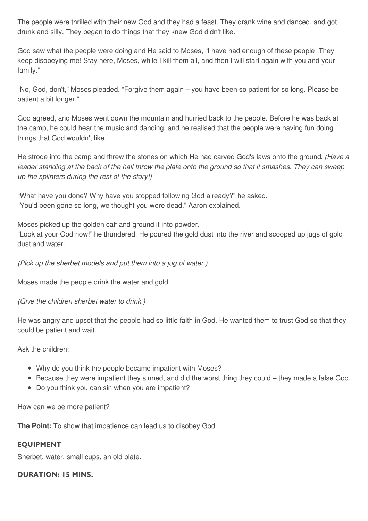The people were thrilled with their new God and they had a feast. They drank wine and danced, and got drunk and silly. They began to do things that they knew God didn't like.

God saw what the people were doing and He said to Moses, "I have had enough of these people! They keep disobeying me! Stay here, Moses, while I kill them all, and then I will start again with you and your family."

"No, God, don't," Moses pleaded. "Forgive them again – you have been so patient for so long. Please be patient a bit longer."

God agreed, and Moses went down the mountain and hurried back to the people. Before he was back at the camp, he could hear the music and dancing, and he realised that the people were having fun doing things that God wouldn't like.

He strode into the camp and threw the stones on which He had carved God's laws onto the ground*. (Have a* leader standing at the back of the hall throw the plate onto the ground so that it smashes. They can sweep *up the splinters during the rest of the story!)*

"What have you done? Why have you stopped following God already?" he asked. "You'd been gone so long, we thought you were dead." Aaron explained.

Moses picked up the golden calf and ground it into powder.

"Look at your God now!" he thundered. He poured the gold dust into the river and scooped up jugs of gold dust and water.

*(Pick up the sherbet models and put them into a jug of water.)*

Moses made the people drink the water and gold.

*(Give the children sherbet water to drink.)*

He was angry and upset that the people had so little faith in God. He wanted them to trust God so that they could be patient and wait.

Ask the children:

- Why do you think the people became impatient with Moses?
- Because they were impatient they sinned, and did the worst thing they could they made a false God.
- Do you think you can sin when you are impatient?

How can we be more patient?

**The Point:** To show that impatience can lead us to disobey God.

### **EQUIPMENT**

Sherbet, water, small cups, an old plate.

### **DURATION: 15 MINS.**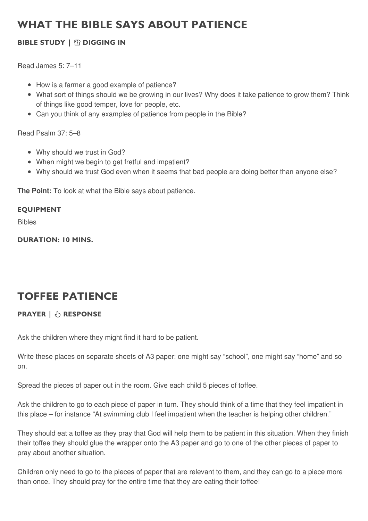# **WHAT THE BIBLE SAYS ABOUT PATIENCE**

# **BIBLE STUDY | DIGGING IN**

Read James 5: 7–11

- How is a farmer a good example of patience?
- What sort of things should we be growing in our lives? Why does it take patience to grow them? Think of things like good temper, love for people, etc.
- Can you think of any examples of patience from people in the Bible?

Read Psalm 37: 5–8

- Why should we trust in God?
- When might we begin to get fretful and impatient?
- Why should we trust God even when it seems that bad people are doing better than anyone else?

**The Point:** To look at what the Bible says about patience.

### **EQUIPMENT**

Bibles

**DURATION: 10 MINS.**

# **TOFFEE PATIENCE**

# **PRAYER | RESPONSE**

Ask the children where they might find it hard to be patient.

Write these places on separate sheets of A3 paper: one might say "school", one might say "home" and so on.

Spread the pieces of paper out in the room. Give each child 5 pieces of toffee.

Ask the children to go to each piece of paper in turn. They should think of a time that they feel impatient in this place – for instance "At swimming club I feel impatient when the teacher is helping other children."

They should eat a toffee as they pray that God will help them to be patient in this situation. When they finish their toffee they should glue the wrapper onto the A3 paper and go to one of the other pieces of paper to pray about another situation.

Children only need to go to the pieces of paper that are relevant to them, and they can go to a piece more than once. They should pray for the entire time that they are eating their toffee!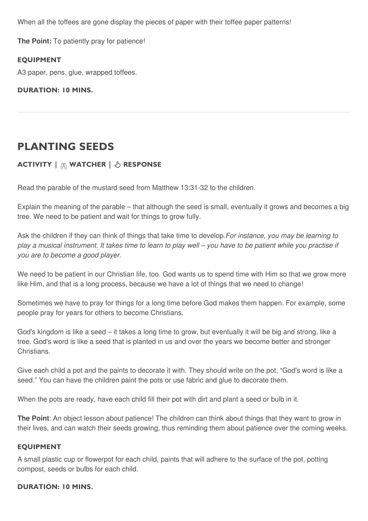When all the toffees are gone display the pieces of paper with their toffee paper patterns!

**The Point:** To patiently pray for patience!

#### **EQUIPMENT**

A3 paper, pens, glue, wrapped toffees.

#### **DURATION: 10 MINS.**

# **PLANTING SEEDS**

# **ACTIVITY | WATCHER | RESPONSE**

Read the parable of the mustard seed from Matthew 13:31-32 to the children.

Explain the meaning of the parable – that although the seed is small, eventually it grows and becomes a big tree. We need to be patient and wait for things to grow fully.

Ask the children if they can think of things that take time to develop.*For instance, you may be learning to* play a musical instrument. It takes time to learn to play well – you have to be patient while you practise if *you are to become a good player.*

We need to be patient in our Christian life, too. God wants us to spend time with Him so that we grow more like Him, and that is a long process, because we have a lot of things that we need to change!

Sometimes we have to pray for things for a long time before God makes them happen. For example, some people pray for years for others to become Christians.

God's kingdom is like a seed – it takes a long time to grow, but eventually it will be big and strong, like a tree. God's word is like a seed that is planted in us and over the years we become better and stronger Christians.

Give each child a pot and the paints to decorate it with. They should write on the pot, "God's word is like a seed." You can have the children paint the pots or use fabric and glue to decorate them.

When the pots are ready, have each child fill their pot with dirt and plant a seed or bulb in it.

**The Point:** An object lesson about patience! The children can think about things that they want to grow in their lives, and can watch their seeds growing, thus reminding them about patience over the coming weeks.

#### **EQUIPMENT**

A small plastic cup or flowerpot for each child, paints that will adhere to the surface of the pot, potting compost, seeds or bulbs for each child.

### **DURATION: 10 MINS.**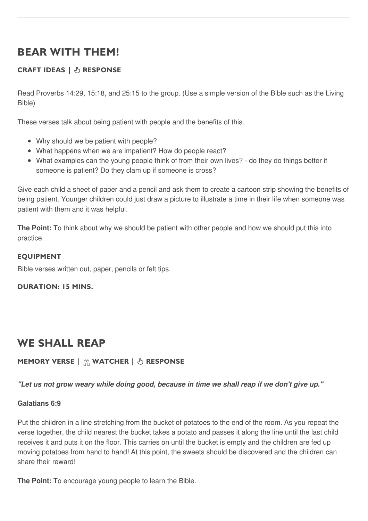# **BEAR WITH THEM!**

# **CRAFT IDEAS | RESPONSE**

Read Proverbs 14:29, 15:18, and 25:15 to the group. (Use a simple version of the Bible such as the Living Bible)

These verses talk about being patient with people and the benefits of this.

- Why should we be patient with people?
- What happens when we are impatient? How do people react?
- What examples can the young people think of from their own lives? do they do things better if someone is patient? Do they clam up if someone is cross?

Give each child a sheet of paper and a pencil and ask them to create a cartoon strip showing the benefits of being patient. Younger children could just draw a picture to illustrate a time in their life when someone was patient with them and it was helpful.

**The Point:** To think about why we should be patient with other people and how we should put this into practice.

### **EQUIPMENT**

Bible verses written out, paper, pencils or felt tips.

### **DURATION: 15 MINS.**

# **WE SHALL REAP**

# **MEMORY VERSE | WATCHER | RESPONSE**

"Let us not grow weary while doing good, because in time we shall reap if we don't give up."

### **Galatians 6:9**

Put the children in a line stretching from the bucket of potatoes to the end of the room. As you repeat the verse together, the child nearest the bucket takes a potato and passes it along the line until the last child receives it and puts it on the floor. This carries on until the bucket is empty and the children are fed up moving potatoes from hand to hand! At this point, the sweets should be discovered and the children can share their reward!

**The Point:** To encourage young people to learn the Bible.